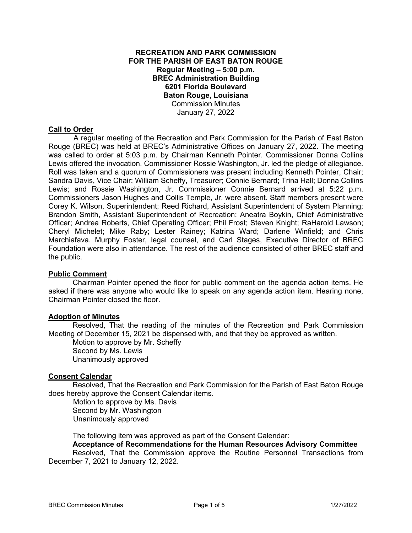# **RECREATION AND PARK COMMISSION FOR THE PARISH OF EAST BATON ROUGE Regular Meeting – 5:00 p.m. BREC Administration Building 6201 Florida Boulevard Baton Rouge, Louisiana**  Commission Minutes January 27, 2022

## **Call to Order**

 A regular meeting of the Recreation and Park Commission for the Parish of East Baton Rouge (BREC) was held at BREC's Administrative Offices on January 27, 2022. The meeting was called to order at 5:03 p.m. by Chairman Kenneth Pointer. Commissioner Donna Collins Lewis offered the invocation. Commissioner Rossie Washington, Jr. led the pledge of allegiance. Roll was taken and a quorum of Commissioners was present including Kenneth Pointer, Chair; Sandra Davis, Vice Chair; William Scheffy, Treasurer; Connie Bernard; Trina Hall; Donna Collins Lewis; and Rossie Washington, Jr. Commissioner Connie Bernard arrived at 5:22 p.m. Commissioners Jason Hughes and Collis Temple, Jr. were absent. Staff members present were Corey K. Wilson, Superintendent; Reed Richard, Assistant Superintendent of System Planning; Brandon Smith, Assistant Superintendent of Recreation; Aneatra Boykin, Chief Administrative Officer; Andrea Roberts, Chief Operating Officer; Phil Frost; Steven Knight; RaHarold Lawson; Cheryl Michelet; Mike Raby; Lester Rainey; Katrina Ward; Darlene Winfield; and Chris Marchiafava. Murphy Foster, legal counsel, and Carl Stages, Executive Director of BREC Foundation were also in attendance. The rest of the audience consisted of other BREC staff and the public.

## **Public Comment**

Chairman Pointer opened the floor for public comment on the agenda action items. He asked if there was anyone who would like to speak on any agenda action item. Hearing none, Chairman Pointer closed the floor.

#### **Adoption of Minutes**

Resolved, That the reading of the minutes of the Recreation and Park Commission Meeting of December 15, 2021 be dispensed with, and that they be approved as written.

Motion to approve by Mr. Scheffy Second by Ms. Lewis Unanimously approved

## **Consent Calendar**

Resolved, That the Recreation and Park Commission for the Parish of East Baton Rouge does hereby approve the Consent Calendar items.

 Motion to approve by Ms. Davis Second by Mr. Washington Unanimously approved

The following item was approved as part of the Consent Calendar:

# **Acceptance of Recommendations for the Human Resources Advisory Committee**

 Resolved, That the Commission approve the Routine Personnel Transactions from December 7, 2021 to January 12, 2022.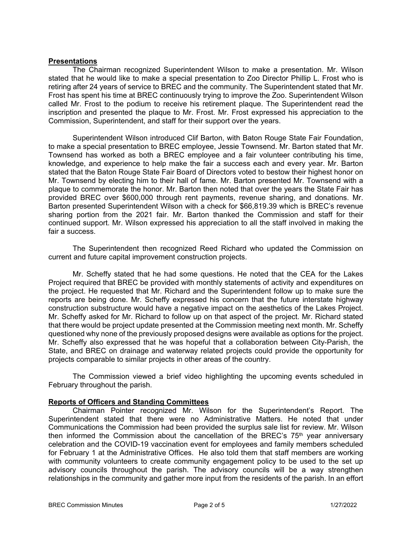## **Presentations**

The Chairman recognized Superintendent Wilson to make a presentation. Mr. Wilson stated that he would like to make a special presentation to Zoo Director Phillip L. Frost who is retiring after 24 years of service to BREC and the community. The Superintendent stated that Mr. Frost has spent his time at BREC continuously trying to improve the Zoo. Superintendent Wilson called Mr. Frost to the podium to receive his retirement plaque. The Superintendent read the inscription and presented the plaque to Mr. Frost. Mr. Frost expressed his appreciation to the Commission, Superintendent, and staff for their support over the years.

Superintendent Wilson introduced Clif Barton, with Baton Rouge State Fair Foundation, to make a special presentation to BREC employee, Jessie Townsend. Mr. Barton stated that Mr. Townsend has worked as both a BREC employee and a fair volunteer contributing his time, knowledge, and experience to help make the fair a success each and every year. Mr. Barton stated that the Baton Rouge State Fair Board of Directors voted to bestow their highest honor on Mr. Townsend by electing him to their hall of fame. Mr. Barton presented Mr. Townsend with a plaque to commemorate the honor. Mr. Barton then noted that over the years the State Fair has provided BREC over \$600,000 through rent payments, revenue sharing, and donations. Mr. Barton presented Superintendent Wilson with a check for \$66,819.39 which is BREC's revenue sharing portion from the 2021 fair. Mr. Barton thanked the Commission and staff for their continued support. Mr. Wilson expressed his appreciation to all the staff involved in making the fair a success.

The Superintendent then recognized Reed Richard who updated the Commission on current and future capital improvement construction projects.

Mr. Scheffy stated that he had some questions. He noted that the CEA for the Lakes Project required that BREC be provided with monthly statements of activity and expenditures on the project. He requested that Mr. Richard and the Superintendent follow up to make sure the reports are being done. Mr. Scheffy expressed his concern that the future interstate highway construction substructure would have a negative impact on the aesthetics of the Lakes Project. Mr. Scheffy asked for Mr. Richard to follow up on that aspect of the project. Mr. Richard stated that there would be project update presented at the Commission meeting next month. Mr. Scheffy questioned why none of the previously proposed designs were available as options for the project. Mr. Scheffy also expressed that he was hopeful that a collaboration between City-Parish, the State, and BREC on drainage and waterway related projects could provide the opportunity for projects comparable to similar projects in other areas of the country.

The Commission viewed a brief video highlighting the upcoming events scheduled in February throughout the parish.

## **Reports of Officers and Standing Committees**

Chairman Pointer recognized Mr. Wilson for the Superintendent's Report. The Superintendent stated that there were no Administrative Matters. He noted that under Communications the Commission had been provided the surplus sale list for review. Mr. Wilson then informed the Commission about the cancellation of the BREC's  $75<sup>th</sup>$  year anniversary celebration and the COVID-19 vaccination event for employees and family members scheduled for February 1 at the Administrative Offices. He also told them that staff members are working with community volunteers to create community engagement policy to be used to the set up advisory councils throughout the parish. The advisory councils will be a way strengthen relationships in the community and gather more input from the residents of the parish. In an effort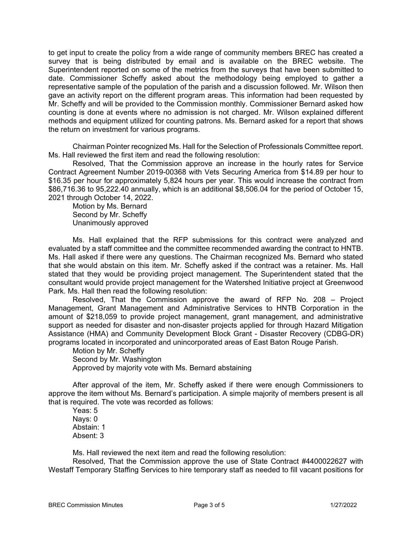to get input to create the policy from a wide range of community members BREC has created a survey that is being distributed by email and is available on the BREC website. The Superintendent reported on some of the metrics from the surveys that have been submitted to date. Commissioner Scheffy asked about the methodology being employed to gather a representative sample of the population of the parish and a discussion followed. Mr. Wilson then gave an activity report on the different program areas. This information had been requested by Mr. Scheffy and will be provided to the Commission monthly. Commissioner Bernard asked how counting is done at events where no admission is not charged. Mr. Wilson explained different methods and equipment utilized for counting patrons. Ms. Bernard asked for a report that shows the return on investment for various programs.

Chairman Pointer recognized Ms. Hall for the Selection of Professionals Committee report. Ms. Hall reviewed the first item and read the following resolution:

Resolved, That the Commission approve an increase in the hourly rates for Service Contract Agreement Number 2019-00368 with Vets Securing America from \$14.89 per hour to \$16.35 per hour for approximately 5,824 hours per year. This would increase the contract from \$86,716.36 to 95,222.40 annually, which is an additional \$8,506.04 for the period of October 15, 2021 through October 14, 2022.

Motion by Ms. Bernard Second by Mr. Scheffy Unanimously approved

Ms. Hall explained that the RFP submissions for this contract were analyzed and evaluated by a staff committee and the committee recommended awarding the contract to HNTB. Ms. Hall asked if there were any questions. The Chairman recognized Ms. Bernard who stated that she would abstain on this item. Mr. Scheffy asked if the contract was a retainer. Ms. Hall stated that they would be providing project management. The Superintendent stated that the consultant would provide project management for the Watershed Initiative project at Greenwood Park. Ms. Hall then read the following resolution:

Resolved, That the Commission approve the award of RFP No. 208 – Project Management, Grant Management and Administrative Services to HNTB Corporation in the amount of \$218,059 to provide project management, grant management, and administrative support as needed for disaster and non-disaster projects applied for through Hazard Mitigation Assistance (HMA) and Community Development Block Grant - Disaster Recovery (CDBG-DR) programs located in incorporated and unincorporated areas of East Baton Rouge Parish.

Motion by Mr. Scheffy Second by Mr. Washington Approved by majority vote with Ms. Bernard abstaining

After approval of the item, Mr. Scheffy asked if there were enough Commissioners to approve the item without Ms. Bernard's participation. A simple majority of members present is all that is required. The vote was recorded as follows:

Yeas: 5 Nays: 0 Abstain: 1 Absent: 3

Ms. Hall reviewed the next item and read the following resolution:

Resolved, That the Commission approve the use of State Contract #4400022627 with Westaff Temporary Staffing Services to hire temporary staff as needed to fill vacant positions for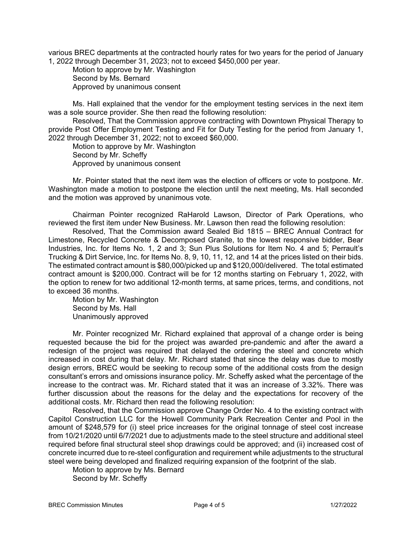various BREC departments at the contracted hourly rates for two years for the period of January 1, 2022 through December 31, 2023; not to exceed \$450,000 per year.

Motion to approve by Mr. Washington Second by Ms. Bernard Approved by unanimous consent

Ms. Hall explained that the vendor for the employment testing services in the next item was a sole source provider. She then read the following resolution:

Resolved, That the Commission approve contracting with Downtown Physical Therapy to provide Post Offer Employment Testing and Fit for Duty Testing for the period from January 1, 2022 through December 31, 2022; not to exceed \$60,000.

Motion to approve by Mr. Washington Second by Mr. Scheffy Approved by unanimous consent

Mr. Pointer stated that the next item was the election of officers or vote to postpone. Mr. Washington made a motion to postpone the election until the next meeting, Ms. Hall seconded and the motion was approved by unanimous vote.

 Chairman Pointer recognized RaHarold Lawson, Director of Park Operations, who reviewed the first item under New Business. Mr. Lawson then read the following resolution:

 Resolved, That the Commission award Sealed Bid 1815 – BREC Annual Contract for Limestone, Recycled Concrete & Decomposed Granite, to the lowest responsive bidder, Bear Industries, Inc. for Items No. 1, 2 and 3; Sun Plus Solutions for Item No. 4 and 5; Perrault's Trucking & Dirt Service, Inc. for Items No. 8, 9, 10, 11, 12, and 14 at the prices listed on their bids. The estimated contract amount is \$80,000/picked up and \$120,000/delivered. The total estimated contract amount is \$200,000. Contract will be for 12 months starting on February 1, 2022, with the option to renew for two additional 12-month terms, at same prices, terms, and conditions, not to exceed 36 months.

 Motion by Mr. Washington Second by Ms. Hall Unanimously approved

Mr. Pointer recognized Mr. Richard explained that approval of a change order is being requested because the bid for the project was awarded pre-pandemic and after the award a redesign of the project was required that delayed the ordering the steel and concrete which increased in cost during that delay. Mr. Richard stated that since the delay was due to mostly design errors, BREC would be seeking to recoup some of the additional costs from the design consultant's errors and omissions insurance policy. Mr. Scheffy asked what the percentage of the increase to the contract was. Mr. Richard stated that it was an increase of 3.32%. There was further discussion about the reasons for the delay and the expectations for recovery of the additional costs. Mr. Richard then read the following resolution:

Resolved, that the Commission approve Change Order No. 4 to the existing contract with Capitol Construction LLC for the Howell Community Park Recreation Center and Pool in the amount of \$248,579 for (i) steel price increases for the original tonnage of steel cost increase from 10/21/2020 until 6/7/2021 due to adjustments made to the steel structure and additional steel required before final structural steel shop drawings could be approved; and (ii) increased cost of concrete incurred due to re-steel configuration and requirement while adjustments to the structural steel were being developed and finalized requiring expansion of the footprint of the slab.

Motion to approve by Ms. Bernard Second by Mr. Scheffy